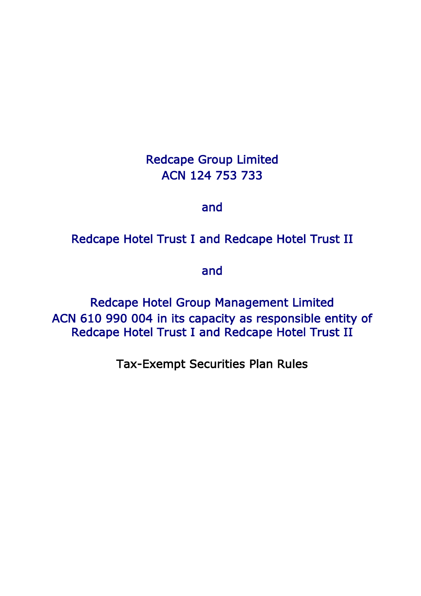# Redcape Group Limited ACN 124 753 733

## and

## Redcape Hotel Trust I and Redcape Hotel Trust II

and

Redcape Hotel Group Management Limited ACN 610 990 004 in its capacity as responsible entity of Redcape Hotel Trust I and Redcape Hotel Trust II

Tax-Exempt Securities Plan Rules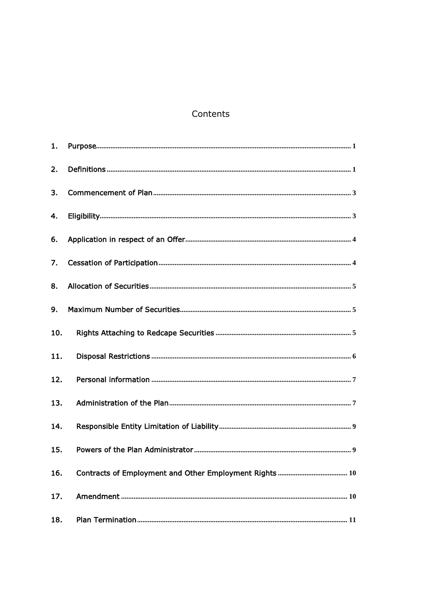### Contents

| 1.  |  |
|-----|--|
| 2.  |  |
| 3.  |  |
| 4.  |  |
| 6.  |  |
| 7.  |  |
| 8.  |  |
| 9.  |  |
| 10. |  |
| 11. |  |
| 12. |  |
| 13. |  |
| 14. |  |
| 15. |  |
| 16. |  |
| 17. |  |
| 18. |  |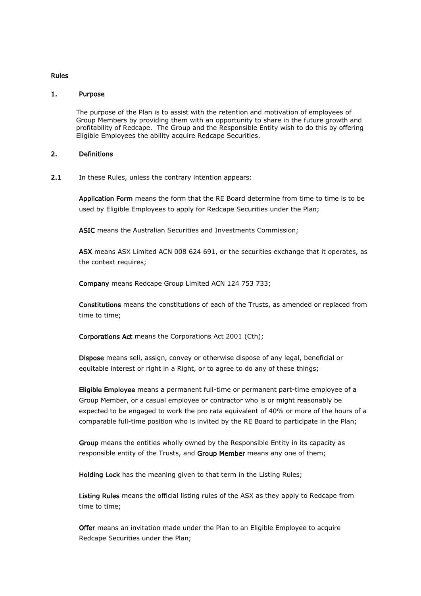#### Rules

#### 1. Purpose

The purpose of the Plan is to assist with the retention and motivation of employees of Group Members by providing them with an opportunity to share in the future growth and profitability of Redcape. The Group and the Responsible Entity wish to do this by offering Eligible Employees the ability acquire Redcape Securities.

#### 2. Definitions

2.1 In these Rules, unless the contrary intention appears:

Application Form means the form that the RE Board determine from time to time is to be used by Eligible Employees to apply for Redcape Securities under the Plan;

ASIC means the Australian Securities and Investments Commission;

ASX means ASX Limited ACN 008 624 691, or the securities exchange that it operates, as the context requires;

Company means Redcape Group Limited ACN 124 753 733;

Constitutions means the constitutions of each of the Trusts, as amended or replaced from time to time;

Corporations Act means the Corporations Act 2001 (Cth);

Dispose means sell, assign, convey or otherwise dispose of any legal, beneficial or equitable interest or right in a Right, or to agree to do any of these things;

Eligible Employee means a permanent full-time or permanent part-time employee of a Group Member, or a casual employee or contractor who is or might reasonably be expected to be engaged to work the pro rata equivalent of 40% or more of the hours of a comparable full-time position who is invited by the RE Board to participate in the Plan;

Group means the entities wholly owned by the Responsible Entity in its capacity as responsible entity of the Trusts, and Group Member means any one of them;

Holding Lock has the meaning given to that term in the Listing Rules;

Listing Rules means the official listing rules of the ASX as they apply to Redcape from time to time;

Offer means an invitation made under the Plan to an Eligible Employee to acquire Redcape Securities under the Plan;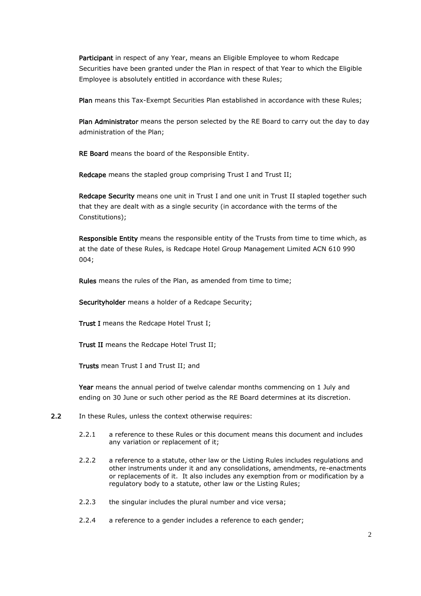Participant in respect of any Year, means an Eligible Employee to whom Redcape Securities have been granted under the Plan in respect of that Year to which the Eligible Employee is absolutely entitled in accordance with these Rules;

Plan means this Tax-Exempt Securities Plan established in accordance with these Rules;

Plan Administrator means the person selected by the RE Board to carry out the day to day administration of the Plan;

RE Board means the board of the Responsible Entity.

Redcape means the stapled group comprising Trust I and Trust II;

Redcape Security means one unit in Trust I and one unit in Trust II stapled together such that they are dealt with as a single security (in accordance with the terms of the Constitutions);

Responsible Entity means the responsible entity of the Trusts from time to time which, as at the date of these Rules, is Redcape Hotel Group Management Limited ACN 610 990 004;

Rules means the rules of the Plan, as amended from time to time;

Securityholder means a holder of a Redcape Security;

Trust I means the Redcape Hotel Trust I;

Trust II means the Redcape Hotel Trust II;

Trusts mean Trust I and Trust II; and

Year means the annual period of twelve calendar months commencing on 1 July and ending on 30 June or such other period as the RE Board determines at its discretion.

- 2.2 In these Rules, unless the context otherwise requires:
	- 2.2.1 a reference to these Rules or this document means this document and includes any variation or replacement of it;
	- 2.2.2 a reference to a statute, other law or the Listing Rules includes regulations and other instruments under it and any consolidations, amendments, re-enactments or replacements of it. It also includes any exemption from or modification by a regulatory body to a statute, other law or the Listing Rules;
	- 2.2.3 the singular includes the plural number and vice versa;
	- 2.2.4 a reference to a gender includes a reference to each gender;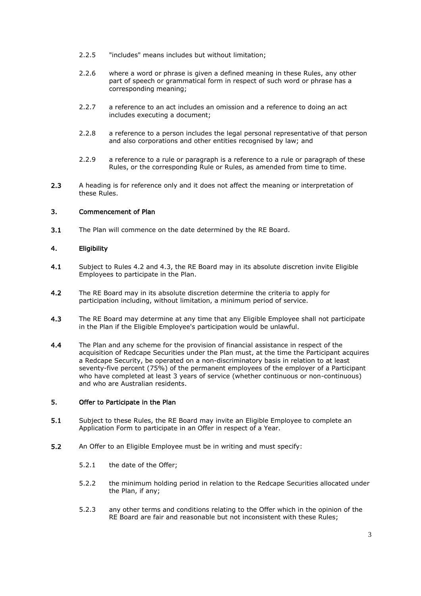- 2.2.5 "includes" means includes but without limitation;
- 2.2.6 where a word or phrase is given a defined meaning in these Rules, any other part of speech or grammatical form in respect of such word or phrase has a corresponding meaning;
- 2.2.7 a reference to an act includes an omission and a reference to doing an act includes executing a document;
- 2.2.8 a reference to a person includes the legal personal representative of that person and also corporations and other entities recognised by law; and
- 2.2.9 a reference to a rule or paragraph is a reference to a rule or paragraph of these Rules, or the corresponding Rule or Rules, as amended from time to time.
- 2.3 A heading is for reference only and it does not affect the meaning or interpretation of these Rules.

#### 3. Commencement of Plan

3.1 The Plan will commence on the date determined by the RE Board.

#### 4. Eligibility

- 4.1 Subject to Rules [4.2](#page-5-0) and [4.3,](#page-5-1) the RE Board may in its absolute discretion invite Eligible Employees to participate in the Plan.
- <span id="page-5-0"></span>4.2 The RE Board may in its absolute discretion determine the criteria to apply for participation including, without limitation, a minimum period of service.
- <span id="page-5-1"></span>4.3 The RE Board may determine at any time that any Eligible Employee shall not participate in the Plan if the Eligible Employee's participation would be unlawful.
- 4.4 The Plan and any scheme for the provision of financial assistance in respect of the acquisition of Redcape Securities under the Plan must, at the time the Participant acquires a Redcape Security, be operated on a non-discriminatory basis in relation to at least seventy-five percent (75%) of the permanent employees of the employer of a Participant who have completed at least 3 years of service (whether continuous or non-continuous) and who are Australian residents.

#### <span id="page-5-2"></span>5. Offer to Participate in the Plan

- 5.1 Subject to these Rules, the RE Board may invite an Eligible Employee to complete an Application Form to participate in an Offer in respect of a Year.
- 5.2 An Offer to an Eligible Employee must be in writing and must specify:
	- 5.2.1 the date of the Offer;
	- 5.2.2 the minimum holding period in relation to the Redcape Securities allocated under the Plan, if any;
	- 5.2.3 any other terms and conditions relating to the Offer which in the opinion of the RE Board are fair and reasonable but not inconsistent with these Rules;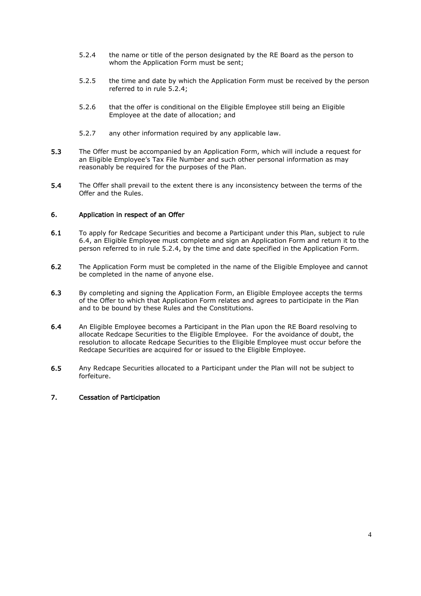- <span id="page-6-0"></span>5.2.4 the name or title of the person designated by the RE Board as the person to whom the Application Form must be sent;
- 5.2.5 the time and date by which the Application Form must be received by the person referred to in rule [5.2.4;](#page-6-0)
- 5.2.6 that the offer is conditional on the Eligible Employee still being an Eligible Employee at the date of allocation; and
- 5.2.7 any other information required by any applicable law.
- 5.3 The Offer must be accompanied by an Application Form, which will include a request for an Eligible Employee's Tax File Number and such other personal information as may reasonably be required for the purposes of the Plan.
- 5.4 The Offer shall prevail to the extent there is any inconsistency between the terms of the Offer and the Rules.

#### 6. Application in respect of an Offer

- 6.1 To apply for Redcape Securities and become a Participant under this Plan, subject to rule [6.4,](#page-6-1) an Eligible Employee must complete and sign an Application Form and return it to the person referred to in rule [5.2.4,](#page-6-0) by the time and date specified in the Application Form.
- 6.2 The Application Form must be completed in the name of the Eligible Employee and cannot be completed in the name of anyone else.
- 6.3 By completing and signing the Application Form, an Eligible Employee accepts the terms of the Offer to which that Application Form relates and agrees to participate in the Plan and to be bound by these Rules and the Constitutions.
- <span id="page-6-1"></span>6.4 An Eligible Employee becomes a Participant in the Plan upon the RE Board resolving to allocate Redcape Securities to the Eligible Employee. For the avoidance of doubt, the resolution to allocate Redcape Securities to the Eligible Employee must occur before the Redcape Securities are acquired for or issued to the Eligible Employee.
- 6.5 Any Redcape Securities allocated to a Participant under the Plan will not be subject to forfeiture.

#### 7. Cessation of Participation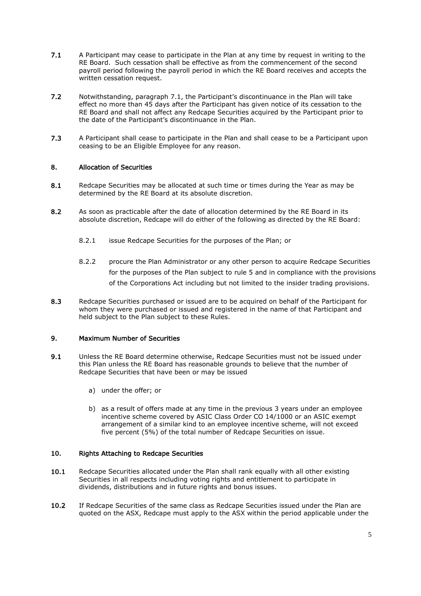- <span id="page-7-0"></span>7.1 A Participant may cease to participate in the Plan at any time by request in writing to the RE Board. Such cessation shall be effective as from the commencement of the second payroll period following the payroll period in which the RE Board receives and accepts the written cessation request.
- 7.2 Notwithstanding, paragraph [7.1,](#page-7-0) the Participant's discontinuance in the Plan will take effect no more than 45 days after the Participant has given notice of its cessation to the RE Board and shall not affect any Redcape Securities acquired by the Participant prior to the date of the Participant's discontinuance in the Plan.
- 7.3 A Participant shall cease to participate in the Plan and shall cease to be a Participant upon ceasing to be an Eligible Employee for any reason.

#### 8. Allocation of Securities

- 8.1 Redcape Securities may be allocated at such time or times during the Year as may be determined by the RE Board at its absolute discretion.
- 8.2 As soon as practicable after the date of allocation determined by the RE Board in its absolute discretion, Redcape will do either of the following as directed by the RE Board:
	- 8.2.1 issue Redcape Securities for the purposes of the Plan; or
	- 8.2.2 procure the Plan Administrator or any other person to acquire Redcape Securities for the purposes of the Plan subject to rule [5](#page-5-2) and in compliance with the provisions of the Corporations Act including but not limited to the insider trading provisions.
- 8.3 Redcape Securities purchased or issued are to be acquired on behalf of the Participant for whom they were purchased or issued and registered in the name of that Participant and held subject to the Plan subject to these Rules.

#### 9. Maximum Number of Securities

- 9.1 Unless the RE Board determine otherwise, Redcape Securities must not be issued under this Plan unless the RE Board has reasonable grounds to believe that the number of Redcape Securities that have been or may be issued
	- a) under the offer; or
	- b) as a result of offers made at any time in the previous 3 years under an employee incentive scheme covered by ASIC Class Order CO 14/1000 or an ASIC exempt arrangement of a similar kind to an employee incentive scheme, will not exceed five percent (5%) of the total number of Redcape Securities on issue.

#### 10. Rights Attaching to Redcape Securities

- 10.1 Redcape Securities allocated under the Plan shall rank equally with all other existing Securities in all respects including voting rights and entitlement to participate in dividends, distributions and in future rights and bonus issues.
- 10.2 If Redcape Securities of the same class as Redcape Securities issued under the Plan are quoted on the ASX, Redcape must apply to the ASX within the period applicable under the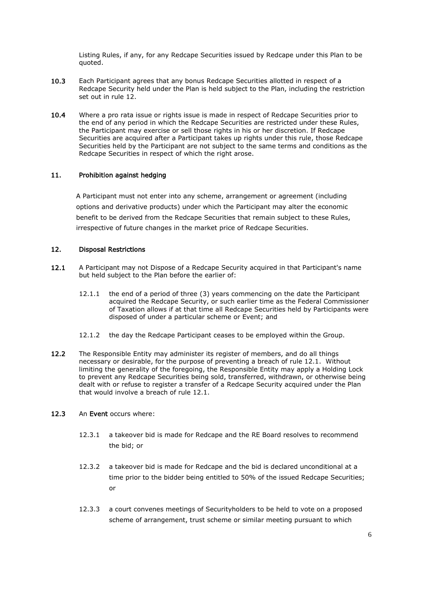Listing Rules, if any, for any Redcape Securities issued by Redcape under this Plan to be quoted.

- 10.3 Each Participant agrees that any bonus Redcape Securities allotted in respect of a Redcape Security held under the Plan is held subject to the Plan, including the restriction set out in rule [12.](#page-8-0)
- 10.4 Where a pro rata issue or rights issue is made in respect of Redcape Securities prior to the end of any period in which the Redcape Securities are restricted under these Rules, the Participant may exercise or sell those rights in his or her discretion. If Redcape Securities are acquired after a Participant takes up rights under this rule, those Redcape Securities held by the Participant are not subject to the same terms and conditions as the Redcape Securities in respect of which the right arose.

#### 11. Prohibition against hedging

A Participant must not enter into any scheme, arrangement or agreement (including options and derivative products) under which the Participant may alter the economic benefit to be derived from the Redcape Securities that remain subject to these Rules, irrespective of future changes in the market price of Redcape Securities.

#### <span id="page-8-0"></span>12. Disposal Restrictions

- <span id="page-8-1"></span>12.1 A Participant may not Dispose of a Redcape Security acquired in that Participant's name but held subject to the Plan before the earlier of:
	- 12.1.1 the end of a period of three (3) years commencing on the date the Participant acquired the Redcape Security, or such earlier time as the Federal Commissioner of Taxation allows if at that time all Redcape Securities held by Participants were disposed of under a particular scheme or Event; and
	- 12.1.2 the day the Redcape Participant ceases to be employed within the Group.
- 12.2 The Responsible Entity may administer its register of members, and do all things necessary or desirable, for the purpose of preventing a breach of rule [12.1.](#page-8-1) Without limiting the generality of the foregoing, the Responsible Entity may apply a Holding Lock to prevent any Redcape Securities being sold, transferred, withdrawn, or otherwise being dealt with or refuse to register a transfer of a Redcape Security acquired under the Plan that would involve a breach of rule [12.1.](#page-8-1)

#### 12.3 An Event occurs where:

- 12.3.1 a takeover bid is made for Redcape and the RE Board resolves to recommend the bid; or
- 12.3.2 a takeover bid is made for Redcape and the bid is declared unconditional at a time prior to the bidder being entitled to 50% of the issued Redcape Securities; or
- 12.3.3 a court convenes meetings of Securityholders to be held to vote on a proposed scheme of arrangement, trust scheme or similar meeting pursuant to which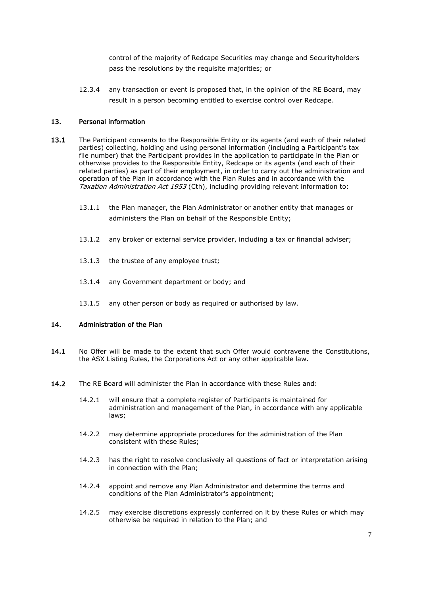control of the majority of Redcape Securities may change and Securityholders pass the resolutions by the requisite majorities; or

12.3.4 any transaction or event is proposed that, in the opinion of the RE Board, may result in a person becoming entitled to exercise control over Redcape.

#### 13. Personal information

- 13.1 The Participant consents to the Responsible Entity or its agents (and each of their related parties) collecting, holding and using personal information (including a Participant's tax file number) that the Participant provides in the application to participate in the Plan or otherwise provides to the Responsible Entity, Redcape or its agents (and each of their related parties) as part of their employment, in order to carry out the administration and operation of the Plan in accordance with the Plan Rules and in accordance with the Taxation Administration Act 1953 (Cth), including providing relevant information to:
	- 13.1.1 the Plan manager, the Plan Administrator or another entity that manages or administers the Plan on behalf of the Responsible Entity;
	- 13.1.2 any broker or external service provider, including a tax or financial adviser;
	- 13.1.3 the trustee of any employee trust;
	- 13.1.4 any Government department or body; and
	- 13.1.5 any other person or body as required or authorised by law.

#### 14. Administration of the Plan

- 14.1 No Offer will be made to the extent that such Offer would contravene the Constitutions, the ASX Listing Rules, the Corporations Act or any other applicable law.
- 14.2 The RE Board will administer the Plan in accordance with these Rules and:
	- 14.2.1 will ensure that a complete register of Participants is maintained for administration and management of the Plan, in accordance with any applicable laws;
	- 14.2.2 may determine appropriate procedures for the administration of the Plan consistent with these Rules;
	- 14.2.3 has the right to resolve conclusively all questions of fact or interpretation arising in connection with the Plan;
	- 14.2.4 appoint and remove any Plan Administrator and determine the terms and conditions of the Plan Administrator's appointment;
	- 14.2.5 may exercise discretions expressly conferred on it by these Rules or which may otherwise be required in relation to the Plan; and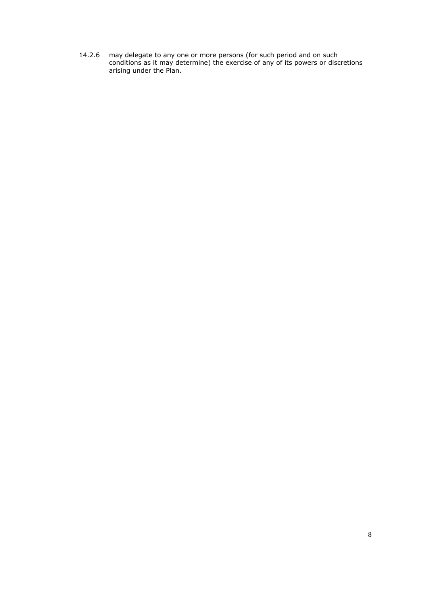14.2.6 may delegate to any one or more persons (for such period and on such conditions as it may determine) the exercise of any of its powers or discretions arising under the Plan.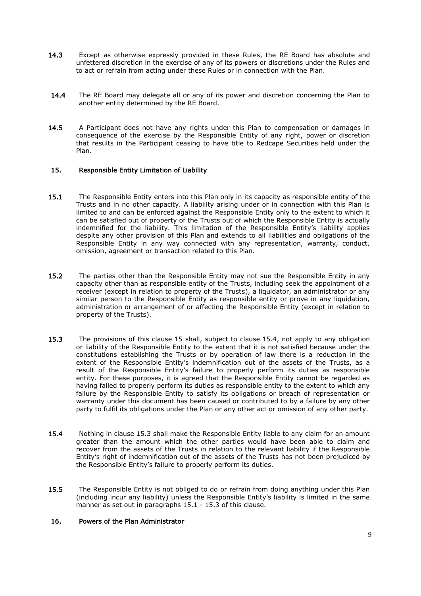- 14.3 Except as otherwise expressly provided in these Rules, the RE Board has absolute and unfettered discretion in the exercise of any of its powers or discretions under the Rules and to act or refrain from acting under these Rules or in connection with the Plan.
- 14.4 The RE Board may delegate all or any of its power and discretion concerning the Plan to another entity determined by the RE Board.
- 14.5 A Participant does not have any rights under this Plan to compensation or damages in consequence of the exercise by the Responsible Entity of any right, power or discretion that results in the Participant ceasing to have title to Redcape Securities held under the Plan.

#### <span id="page-11-0"></span>15. Responsible Entity Limitation of Liability

- <span id="page-11-3"></span>15.1 The Responsible Entity enters into this Plan only in its capacity as responsible entity of the Trusts and in no other capacity. A liability arising under or in connection with this Plan is limited to and can be enforced against the Responsible Entity only to the extent to which it can be satisfied out of property of the Trusts out of which the Responsible Entity is actually indemnified for the liability. This limitation of the Responsible Entity's liability applies despite any other provision of this Plan and extends to all liabilities and obligations of the Responsible Entity in any way connected with any representation, warranty, conduct, omission, agreement or transaction related to this Plan.
- 15.2 The parties other than the Responsible Entity may not sue the Responsible Entity in any capacity other than as responsible entity of the Trusts, including seek the appointment of a receiver (except in relation to property of the Trusts), a liquidator, an administrator or any similar person to the Responsible Entity as responsible entity or prove in any liquidation, administration or arrangement of or affecting the Responsible Entity (except in relation to property of the Trusts).
- <span id="page-11-2"></span>[15](#page-11-0).3 The provisions of this clause 15 shall, subject to clause [15.4,](#page-11-1) not apply to any obligation or liability of the Responsible Entity to the extent that it is not satisfied because under the constitutions establishing the Trusts or by operation of law there is a reduction in the extent of the Responsible Entity's indemnification out of the assets of the Trusts, as a result of the Responsible Entity's failure to properly perform its duties as responsible entity. For these purposes, it is agreed that the Responsible Entity cannot be regarded as having failed to properly perform its duties as responsible entity to the extent to which any failure by the Responsible Entity to satisfy its obligations or breach of representation or warranty under this document has been caused or contributed to by a failure by any other party to fulfil its obligations under the Plan or any other act or omission of any other party.
- <span id="page-11-1"></span>15.4 Nothing in clause [15.3](#page-11-2) shall make the Responsible Entity liable to any claim for an amount greater than the amount which the other parties would have been able to claim and recover from the assets of the Trusts in relation to the relevant liability if the Responsible Entity's right of indemnification out of the assets of the Trusts has not been prejudiced by the Responsible Entity's failure to properly perform its duties.
- 15.5 The Responsible Entity is not obliged to do or refrain from doing anything under this Plan (including incur any liability) unless the Responsible Entity's liability is limited in the same manner as set out in paragraphs [15.1](#page-11-3) - [15.3](#page-11-2) of this clause.

#### 16. Powers of the Plan Administrator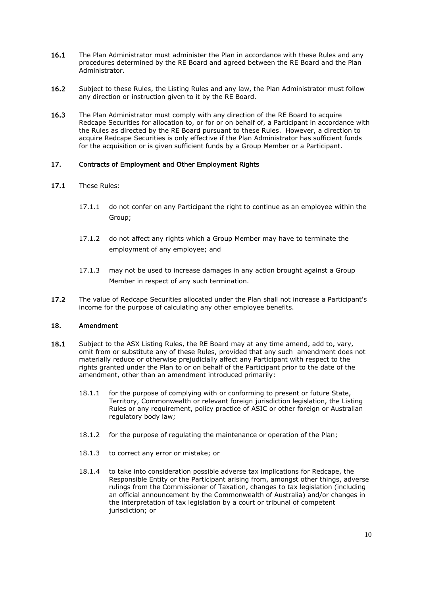- 16.1 The Plan Administrator must administer the Plan in accordance with these Rules and any procedures determined by the RE Board and agreed between the RE Board and the Plan Administrator.
- 16.2 Subject to these Rules, the Listing Rules and any law, the Plan Administrator must follow any direction or instruction given to it by the RE Board.
- 16.3 The Plan Administrator must comply with any direction of the RE Board to acquire Redcape Securities for allocation to, or for or on behalf of, a Participant in accordance with the Rules as directed by the RE Board pursuant to these Rules. However, a direction to acquire Redcape Securities is only effective if the Plan Administrator has sufficient funds for the acquisition or is given sufficient funds by a Group Member or a Participant.

#### 17. Contracts of Employment and Other Employment Rights

- 17.1 These Rules:
	- 17.1.1 do not confer on any Participant the right to continue as an employee within the Group;
	- 17.1.2 do not affect any rights which a Group Member may have to terminate the employment of any employee; and
	- 17.1.3 may not be used to increase damages in any action brought against a Group Member in respect of any such termination.
- 17.2 The value of Redcape Securities allocated under the Plan shall not increase a Participant's income for the purpose of calculating any other employee benefits.

#### <span id="page-12-0"></span>18. Amendment

- 18.1 Subject to the ASX Listing Rules, the RE Board may at any time amend, add to, vary, omit from or substitute any of these Rules, provided that any such amendment does not materially reduce or otherwise prejudicially affect any Participant with respect to the rights granted under the Plan to or on behalf of the Participant prior to the date of the amendment, other than an amendment introduced primarily:
	- 18.1.1 for the purpose of complying with or conforming to present or future State, Territory, Commonwealth or relevant foreign jurisdiction legislation, the Listing Rules or any requirement, policy practice of ASIC or other foreign or Australian regulatory body law;
	- 18.1.2 for the purpose of regulating the maintenance or operation of the Plan;
	- 18.1.3 to correct any error or mistake; or
	- 18.1.4 to take into consideration possible adverse tax implications for Redcape, the Responsible Entity or the Participant arising from, amongst other things, adverse rulings from the Commissioner of Taxation, changes to tax legislation (including an official announcement by the Commonwealth of Australia) and/or changes in the interpretation of tax legislation by a court or tribunal of competent jurisdiction; or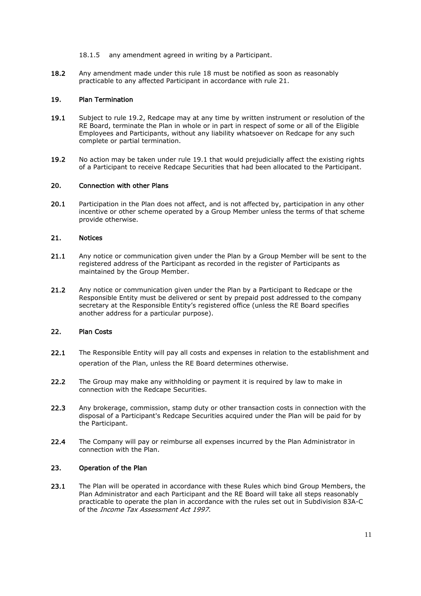#### 18.1.5 any amendment agreed in writing by a Participant.

18.2 Any amendment made under this rule [18](#page-12-0) must be notified as soon as reasonably practicable to any affected Participant in accordance with rule [21.](#page-13-0)

#### 19. Plan Termination

- <span id="page-13-2"></span>19.1 Subject to rule [19.2,](#page-13-1) Redcape may at any time by written instrument or resolution of the RE Board, terminate the Plan in whole or in part in respect of some or all of the Eligible Employees and Participants, without any liability whatsoever on Redcape for any such complete or partial termination.
- <span id="page-13-1"></span>19.2 No action may be taken under rule [19.1](#page-13-2) that would prejudicially affect the existing rights of a Participant to receive Redcape Securities that had been allocated to the Participant.

#### 20. Connection with other Plans

20.1 Participation in the Plan does not affect, and is not affected by, participation in any other incentive or other scheme operated by a Group Member unless the terms of that scheme provide otherwise.

#### <span id="page-13-0"></span>21. Notices

- 21.1 Any notice or communication given under the Plan by a Group Member will be sent to the registered address of the Participant as recorded in the register of Participants as maintained by the Group Member.
- 21.2 Any notice or communication given under the Plan by a Participant to Redcape or the Responsible Entity must be delivered or sent by prepaid post addressed to the company secretary at the Responsible Entity's registered office (unless the RE Board specifies another address for a particular purpose).

#### 22. Plan Costs

- 22.1 The Responsible Entity will pay all costs and expenses in relation to the establishment and operation of the Plan, unless the RE Board determines otherwise.
- 22.2 The Group may make any withholding or payment it is required by law to make in connection with the Redcape Securities.
- 22.3 Any brokerage, commission, stamp duty or other transaction costs in connection with the disposal of a Participant's Redcape Securities acquired under the Plan will be paid for by the Participant.
- 22.4 The Company will pay or reimburse all expenses incurred by the Plan Administrator in connection with the Plan.

#### 23. Operation of the Plan

23.1 The Plan will be operated in accordance with these Rules which bind Group Members, the Plan Administrator and each Participant and the RE Board will take all steps reasonably practicable to operate the plan in accordance with the rules set out in Subdivision 83A-C of the Income Tax Assessment Act 1997.